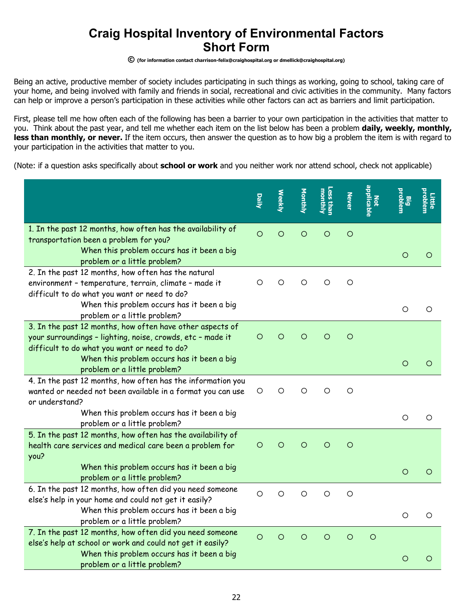## **Craig Hospital Inventory of Environmental Factors Short Form**

## **© (for information contact charrison-felix@craighospital.org or dmellick@craighospital.org)**

Being an active, productive member of society includes participating in such things as working, going to school, taking care of your home, and being involved with family and friends in social, recreational and civic activities in the community. Many factors can help or improve a person's participation in these activities while other factors can act as barriers and limit participation.

First, please tell me how often each of the following has been a barrier to your own participation in the activities that matter to you. Think about the past year, and tell me whether each item on the list below has been a problem **daily, weekly, monthly,**  less than monthly, or never. If the item occurs, then answer the question as to how big a problem the item is with regard to your participation in the activities that matter to you.

(Note: if a question asks specifically about **school or work** and you neither work nor attend school, check not applicable)

|                                                                            | Daily      | <b>Weekly</b> | Monthly | Less than<br>monthly | <b>Never</b> | applicable<br>Not | <b>Big<br/>problem</b> | problem<br>Little |
|----------------------------------------------------------------------------|------------|---------------|---------|----------------------|--------------|-------------------|------------------------|-------------------|
| 1. In the past 12 months, how often has the availability of                |            |               |         |                      |              |                   |                        |                   |
| transportation been a problem for you?                                     | $\circ$    | $\circ$       | $\circ$ | $\circ$              | $\circ$      |                   |                        |                   |
| When this problem occurs has it been a big                                 |            |               |         |                      |              |                   | O                      | $\circ$           |
| problem or a little problem?                                               |            |               |         |                      |              |                   |                        |                   |
| 2. In the past 12 months, how often has the natural                        |            |               |         |                      |              |                   |                        |                   |
| environment - temperature, terrain, climate - made it                      | O          | O             | O       | O                    | $\circ$      |                   |                        |                   |
| difficult to do what you want or need to do?                               |            |               |         |                      |              |                   |                        |                   |
| When this problem occurs has it been a big                                 |            |               |         |                      |              |                   | $\circ$                | $\circ$           |
| problem or a little problem?                                               |            |               |         |                      |              |                   |                        |                   |
| 3. In the past 12 months, how often have other aspects of                  |            |               |         |                      |              |                   |                        |                   |
| your surroundings - lighting, noise, crowds, etc - made it                 | $\circ$    | $\circ$       | $\circ$ | $\circ$              | $\circ$      |                   |                        |                   |
| difficult to do what you want or need to do?                               |            |               |         |                      |              |                   |                        |                   |
| When this problem occurs has it been a big<br>problem or a little problem? |            |               |         |                      |              |                   | O                      | $\circ$           |
| 4. In the past 12 months, how often has the information you                |            |               |         |                      |              |                   |                        |                   |
| wanted or needed not been available in a format you can use                | $\bigcirc$ | $\circ$       | $\circ$ | $\circ$              | $\circ$      |                   |                        |                   |
| or understand?                                                             |            |               |         |                      |              |                   |                        |                   |
| When this problem occurs has it been a big                                 |            |               |         |                      |              |                   |                        |                   |
| problem or a little problem?                                               |            |               |         |                      |              |                   | O                      | $\circ$           |
| 5. In the past 12 months, how often has the availability of                |            |               |         |                      |              |                   |                        |                   |
| health care services and medical care been a problem for                   | O          | O             | O       | $\circ$              | $\circ$      |                   |                        |                   |
| you?                                                                       |            |               |         |                      |              |                   |                        |                   |
| When this problem occurs has it been a big                                 |            |               |         |                      |              |                   | $\circ$                | $\circ$           |
| problem or a little problem?                                               |            |               |         |                      |              |                   |                        |                   |
| 6. In the past 12 months, how often did you need someone                   | $\circ$    | O             | $\circ$ | $\circ$              | $\circ$      |                   |                        |                   |
| else's help in your home and could not get it easily?                      |            |               |         |                      |              |                   |                        |                   |
| When this problem occurs has it been a big                                 |            |               |         |                      |              |                   | O                      | $\circ$           |
| problem or a little problem?                                               |            |               |         |                      |              |                   |                        |                   |
| 7. In the past 12 months, how often did you need someone                   | $\circ$    | $\circ$       | $\circ$ | $\circ$              | $\circ$      | $\circ$           |                        |                   |
| else's help at school or work and could not get it easily?                 |            |               |         |                      |              |                   |                        |                   |
| When this problem occurs has it been a big                                 |            |               |         |                      |              |                   | O                      | $\circ$           |
| problem or a little problem?                                               |            |               |         |                      |              |                   |                        |                   |